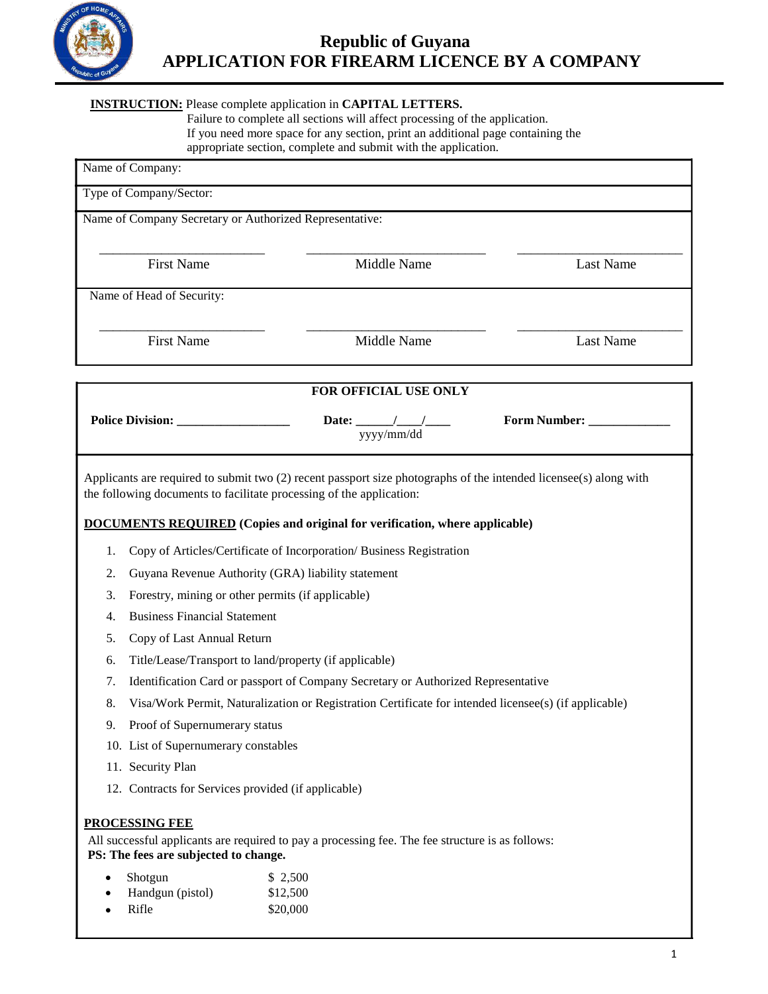

# **Republic of Guyana APPLICATION FOR FIREARM LICENCE BY A COMPANY**

### **INSTRUCTION:** Please complete application in **CAPITAL LETTERS.**

Failure to complete all sections will affect processing of the application. If you need more space for any section, print an additional page containing the appropriate section, complete and submit with the application.

| Name of Company:                                                                                                                          |                                                                                                                   |                  |  |  |
|-------------------------------------------------------------------------------------------------------------------------------------------|-------------------------------------------------------------------------------------------------------------------|------------------|--|--|
| Type of Company/Sector:                                                                                                                   |                                                                                                                   |                  |  |  |
| Name of Company Secretary or Authorized Representative:                                                                                   |                                                                                                                   |                  |  |  |
|                                                                                                                                           |                                                                                                                   |                  |  |  |
| <b>First Name</b>                                                                                                                         | Middle Name                                                                                                       | <b>Last Name</b> |  |  |
| Name of Head of Security:                                                                                                                 |                                                                                                                   |                  |  |  |
|                                                                                                                                           |                                                                                                                   |                  |  |  |
| <b>First Name</b>                                                                                                                         | Middle Name                                                                                                       | <b>Last Name</b> |  |  |
|                                                                                                                                           |                                                                                                                   |                  |  |  |
|                                                                                                                                           | FOR OFFICIAL USE ONLY                                                                                             |                  |  |  |
|                                                                                                                                           | Date: $\frac{1}{\frac{yyyy}{mm/dd}}$                                                                              | Form Number:     |  |  |
|                                                                                                                                           |                                                                                                                   |                  |  |  |
|                                                                                                                                           | Applicants are required to submit two (2) recent passport size photographs of the intended licensee(s) along with |                  |  |  |
| the following documents to facilitate processing of the application:                                                                      |                                                                                                                   |                  |  |  |
|                                                                                                                                           | <b>DOCUMENTS REQUIRED</b> (Copies and original for verification, where applicable)                                |                  |  |  |
| 1.                                                                                                                                        | Copy of Articles/Certificate of Incorporation/ Business Registration                                              |                  |  |  |
| Guyana Revenue Authority (GRA) liability statement<br>2.                                                                                  |                                                                                                                   |                  |  |  |
| Forestry, mining or other permits (if applicable)<br>3.                                                                                   |                                                                                                                   |                  |  |  |
| <b>Business Financial Statement</b><br>4.                                                                                                 |                                                                                                                   |                  |  |  |
| 5.                                                                                                                                        | Copy of Last Annual Return                                                                                        |                  |  |  |
| Title/Lease/Transport to land/property (if applicable)<br>6.                                                                              |                                                                                                                   |                  |  |  |
| Identification Card or passport of Company Secretary or Authorized Representative<br>7.                                                   |                                                                                                                   |                  |  |  |
| 8.<br>Visa/Work Permit, Naturalization or Registration Certificate for intended licensee(s) (if applicable)                               |                                                                                                                   |                  |  |  |
| Proof of Supernumerary status<br>9.                                                                                                       |                                                                                                                   |                  |  |  |
| 10. List of Supernumerary constables                                                                                                      |                                                                                                                   |                  |  |  |
| 11. Security Plan                                                                                                                         |                                                                                                                   |                  |  |  |
| 12. Contracts for Services provided (if applicable)                                                                                       |                                                                                                                   |                  |  |  |
| <b>PROCESSING FEE</b>                                                                                                                     |                                                                                                                   |                  |  |  |
| All successful applicants are required to pay a processing fee. The fee structure is as follows:<br>PS: The fees are subjected to change. |                                                                                                                   |                  |  |  |
| Shotgun                                                                                                                                   | \$2,500                                                                                                           |                  |  |  |
| Handgun (pistol)                                                                                                                          | \$12,500                                                                                                          |                  |  |  |
| Rifle                                                                                                                                     | \$20,000                                                                                                          |                  |  |  |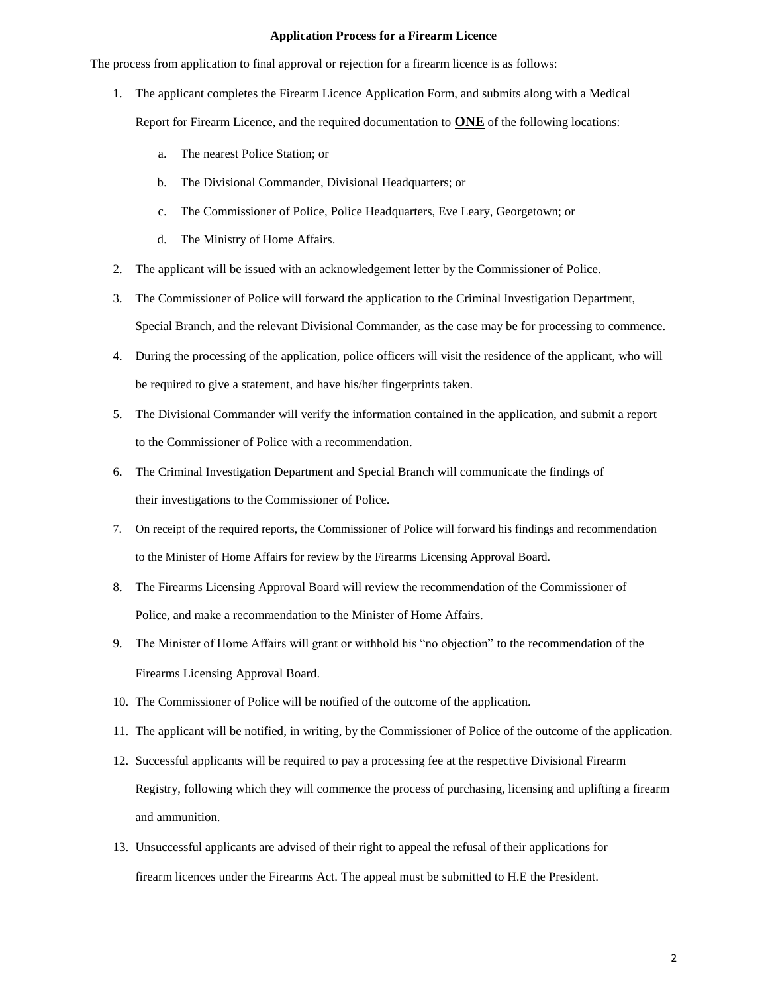#### **Application Process for a Firearm Licence**

The process from application to final approval or rejection for a firearm licence is as follows:

- 1. The applicant completes the Firearm Licence Application Form, and submits along with a Medical Report for Firearm Licence, and the required documentation to **ONE** of the following locations:
	- a. The nearest Police Station; or
	- b. The Divisional Commander, Divisional Headquarters; or
	- c. The Commissioner of Police, Police Headquarters, Eve Leary, Georgetown; or
	- d. The Ministry of Home Affairs.
- 2. The applicant will be issued with an acknowledgement letter by the Commissioner of Police.
- 3. The Commissioner of Police will forward the application to the Criminal Investigation Department, Special Branch, and the relevant Divisional Commander, as the case may be for processing to commence.
- 4. During the processing of the application, police officers will visit the residence of the applicant, who will be required to give a statement, and have his/her fingerprints taken.
- 5. The Divisional Commander will verify the information contained in the application, and submit a report to the Commissioner of Police with a recommendation.
- 6. The Criminal Investigation Department and Special Branch will communicate the findings of their investigations to the Commissioner of Police.
- 7. On receipt of the required reports, the Commissioner of Police will forward his findings and recommendation to the Minister of Home Affairs for review by the Firearms Licensing Approval Board.
- 8. The Firearms Licensing Approval Board will review the recommendation of the Commissioner of Police, and make a recommendation to the Minister of Home Affairs.
- 9. The Minister of Home Affairs will grant or withhold his "no objection" to the recommendation of the Firearms Licensing Approval Board.
- 10. The Commissioner of Police will be notified of the outcome of the application.
- 11. The applicant will be notified, in writing, by the Commissioner of Police of the outcome of the application.
- 12. Successful applicants will be required to pay a processing fee at the respective Divisional Firearm Registry, following which they will commence the process of purchasing, licensing and uplifting a firearm and ammunition.
- 13. Unsuccessful applicants are advised of their right to appeal the refusal of their applications for firearm licences under the Firearms Act. The appeal must be submitted to H.E the President.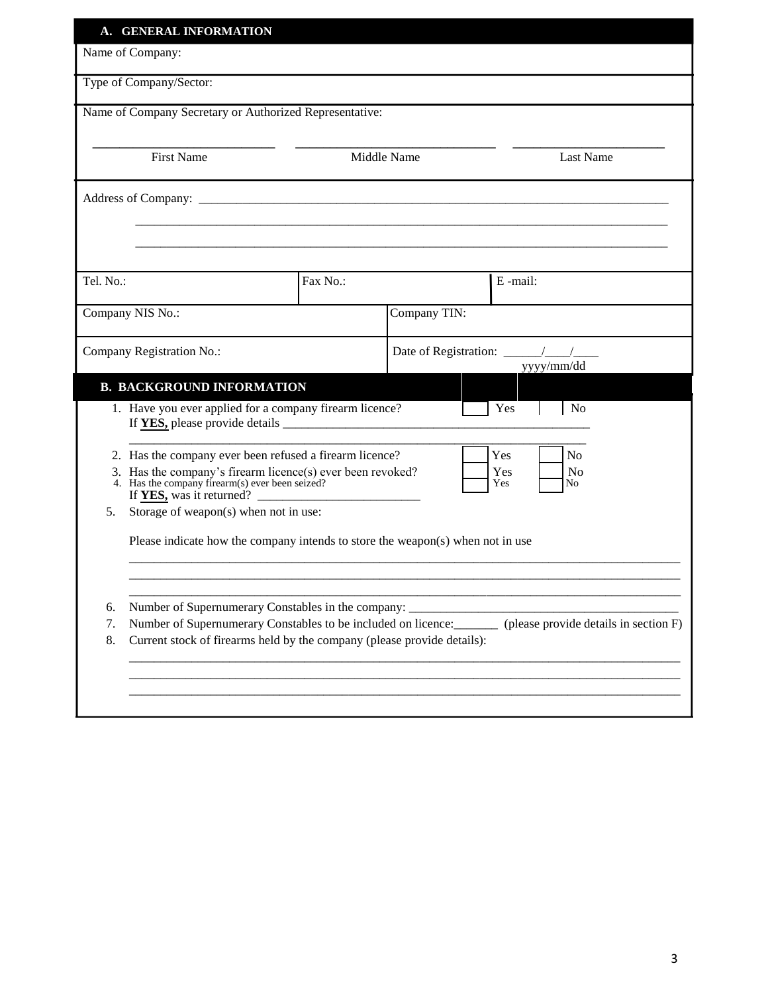| A. GENERAL INFORMATION                                                                                                                                                                         |                                                                                  |              |                                                                                                     |  |
|------------------------------------------------------------------------------------------------------------------------------------------------------------------------------------------------|----------------------------------------------------------------------------------|--------------|-----------------------------------------------------------------------------------------------------|--|
| Name of Company:                                                                                                                                                                               |                                                                                  |              |                                                                                                     |  |
| Type of Company/Sector:                                                                                                                                                                        |                                                                                  |              |                                                                                                     |  |
| Name of Company Secretary or Authorized Representative:                                                                                                                                        |                                                                                  |              |                                                                                                     |  |
| <b>First Name</b>                                                                                                                                                                              |                                                                                  | Middle Name  | <b>Last Name</b>                                                                                    |  |
|                                                                                                                                                                                                |                                                                                  |              |                                                                                                     |  |
|                                                                                                                                                                                                |                                                                                  |              |                                                                                                     |  |
|                                                                                                                                                                                                |                                                                                  |              |                                                                                                     |  |
| Tel. No.:                                                                                                                                                                                      | Fax No.:                                                                         |              | E-mail:                                                                                             |  |
| Company NIS No.:                                                                                                                                                                               |                                                                                  | Company TIN: |                                                                                                     |  |
| Company Registration No.:                                                                                                                                                                      |                                                                                  |              | yyyy/mm/dd                                                                                          |  |
| <b>B. BACKGROUND INFORMATION</b>                                                                                                                                                               |                                                                                  |              |                                                                                                     |  |
| 1. Have you ever applied for a company firearm licence?                                                                                                                                        |                                                                                  |              | Yes<br>No                                                                                           |  |
|                                                                                                                                                                                                | 2. Has the company ever been refused a firearm licence?<br>Yes<br>N <sub>0</sub> |              |                                                                                                     |  |
| Has the company's firearm licence(s) ever been revoked?<br>3.<br>Yes<br>N <sub>o</sub><br>4. Has the company firearm(s) ever been seized?<br>Yes<br>N <sub>0</sub><br>If YES, was it returned? |                                                                                  |              |                                                                                                     |  |
| Storage of weapon(s) when not in use:<br>5.                                                                                                                                                    |                                                                                  |              |                                                                                                     |  |
| Please indicate how the company intends to store the weapon(s) when not in use                                                                                                                 |                                                                                  |              |                                                                                                     |  |
|                                                                                                                                                                                                |                                                                                  |              |                                                                                                     |  |
| Number of Supernumerary Constables in the company: _____<br>6.                                                                                                                                 |                                                                                  |              |                                                                                                     |  |
| 7.<br>Current stock of firearms held by the company (please provide details):<br>8.                                                                                                            |                                                                                  |              | Number of Supernumerary Constables to be included on licence: (please provide details in section F) |  |
|                                                                                                                                                                                                |                                                                                  |              |                                                                                                     |  |
|                                                                                                                                                                                                |                                                                                  |              |                                                                                                     |  |
|                                                                                                                                                                                                |                                                                                  |              |                                                                                                     |  |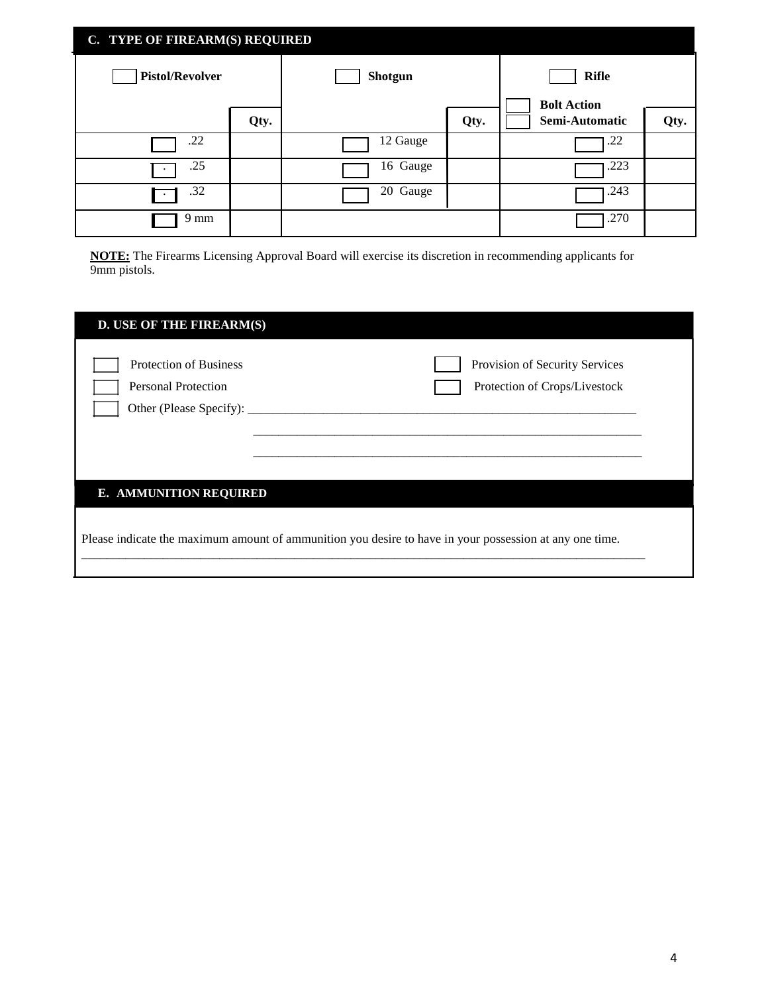| C. TYPE OF FIREARM(S) REQUIRED |      |          |      |                    |      |
|--------------------------------|------|----------|------|--------------------|------|
| <b>Pistol/Revolver</b>         |      | Shotgun  |      | <b>Rifle</b>       |      |
|                                |      |          |      | <b>Bolt Action</b> |      |
|                                | Qty. |          | Qty. | Semi-Automatic     | Qty. |
| .22                            |      | 12 Gauge |      | .22                |      |
| .25                            |      | 16 Gauge |      | .223               |      |
| .32                            |      | 20 Gauge |      | .243               |      |
| 9 mm                           |      |          |      | .270               |      |

**NOTE:** The Firearms Licensing Approval Board will exercise its discretion in recommending applicants for 9mm pistols.

| <b>D. USE OF THE FIREARM(S)</b>                                                                         |                                                                 |  |  |  |
|---------------------------------------------------------------------------------------------------------|-----------------------------------------------------------------|--|--|--|
| <b>Protection of Business</b><br><b>Personal Protection</b><br>Other (Please Specify): ______           | Provision of Security Services<br>Protection of Crops/Livestock |  |  |  |
| <b>E. AMMUNITION REQUIRED</b>                                                                           |                                                                 |  |  |  |
| Please indicate the maximum amount of ammunition you desire to have in your possession at any one time. |                                                                 |  |  |  |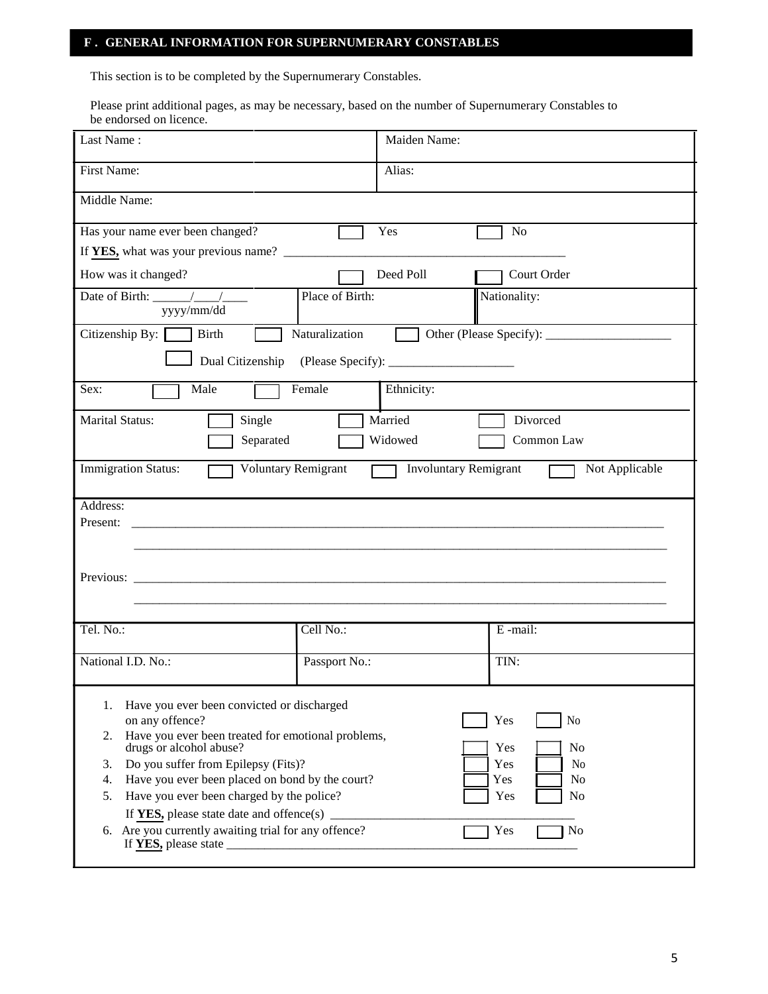### **F . GENERAL INFORMATION FOR SUPERNUMERARY CONSTABLES**

This section is to be completed by the Supernumerary Constables.

Please print additional pages, as may be necessary, based on the number of Supernumerary Constables to be endorsed on licence.

| Last Name:                                                                                          |                      | Maiden Name: |                |
|-----------------------------------------------------------------------------------------------------|----------------------|--------------|----------------|
| First Name:                                                                                         | Alias:               |              |                |
| Middle Name:                                                                                        |                      |              |                |
| Has your name ever been changed?                                                                    | Yes                  |              | N <sub>o</sub> |
|                                                                                                     |                      |              |                |
| How was it changed?                                                                                 | Deed Poll            |              | Court Order    |
| yyyy/mm/dd                                                                                          | Place of Birth:      |              | Nationality:   |
| Citizenship By: Birth                                                                               | Naturalization       |              |                |
|                                                                                                     |                      |              |                |
| Male<br>Sex:                                                                                        | Female<br>Ethnicity: |              |                |
| <b>Marital Status:</b><br>Single                                                                    | Married              |              | Divorced       |
| Separated                                                                                           | Widowed              |              | Common Law     |
| Voluntary Remigrant<br><b>Immigration Status:</b><br><b>Involuntary Remigrant</b><br>Not Applicable |                      |              |                |
| Address:<br>Present:                                                                                |                      |              |                |
|                                                                                                     |                      |              |                |
|                                                                                                     |                      |              |                |
| Previous:                                                                                           |                      |              |                |
|                                                                                                     |                      |              |                |
| Tel. No.:                                                                                           | Cell No.:            |              | E-mail:        |
| National I.D. No.:                                                                                  | Passport No.:        |              | TIN:           |
| Have you ever been convicted or discharged<br>1.                                                    |                      |              |                |
| on any offence?<br>Yes<br>No                                                                        |                      |              |                |
| Have you ever been treated for emotional problems,<br>2.<br>drugs or alcohol abuse?<br>Yes<br>No    |                      |              |                |
| Do you suffer from Epilepsy (Fits)?<br>Yes<br>No<br>3.                                              |                      |              |                |
| Have you ever been placed on bond by the court?<br>Yes<br>No<br>4.                                  |                      |              |                |
| Have you ever been charged by the police?<br>5.<br>Yes<br>No                                        |                      |              |                |
| If YES, please state date and offence(s) $\qquad$                                                   |                      |              |                |
| 6. Are you currently awaiting trial for any offence?<br>Yes<br>No                                   |                      |              |                |